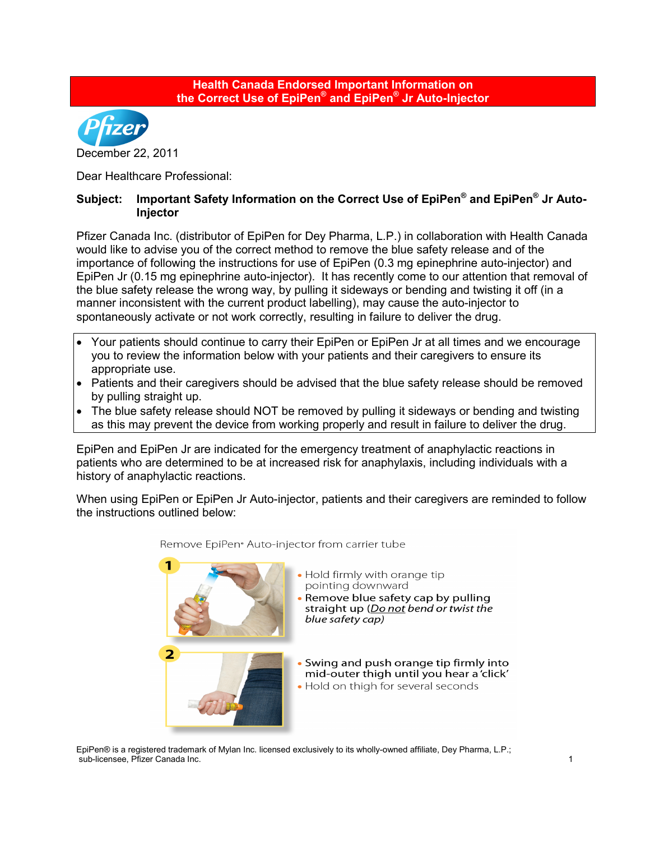

Dear Healthcare Professional:

## **Subject: Important Safety Information on the Correct Use of EpiPen® and EpiPen® Jr Auto-Injector**

Pfizer Canada Inc. (distributor of EpiPen for Dey Pharma, L.P.) in collaboration with Health Canada would like to advise you of the correct method to remove the blue safety release and of the importance of following the instructions for use of EpiPen (0.3 mg epinephrine auto-injector) and EpiPen Jr (0.15 mg epinephrine auto-injector). It has recently come to our attention that removal of the blue safety release the wrong way, by pulling it sideways or bending and twisting it off (in a manner inconsistent with the current product labelling), may cause the auto-injector to spontaneously activate or not work correctly, resulting in failure to deliver the drug.

- Your patients should continue to carry their EpiPen or EpiPen Jr at all times and we encourage you to review the information below with your patients and their caregivers to ensure its appropriate use.
- Patients and their caregivers should be advised that the blue safety release should be removed by pulling straight up.
- The blue safety release should NOT be removed by pulling it sideways or bending and twisting as this may prevent the device from working properly and result in failure to deliver the drug.

EpiPen and EpiPen Jr are indicated for the emergency treatment of anaphylactic reactions in patients who are determined to be at increased risk for anaphylaxis, including individuals with a history of anaphylactic reactions.

When using EpiPen or EpiPen Jr Auto-injector, patients and their caregivers are reminded to follow the instructions outlined below:



## Remove EpiPen<sup>®</sup> Auto-injector from carrier tube

- . Hold firmly with orange tip pointing downward
- Remove blue safety cap by pulling straight up (Do not bend or twist the blue safety cap)
- Swing and push orange tip firmly into mid-outer thigh until you hear a 'click'
- . Hold on thigh for several seconds

EpiPen® is a registered trademark of Mylan Inc. licensed exclusively to its wholly-owned affiliate, Dey Pharma, L.P.; sub-licensee, Pfizer Canada Inc. 1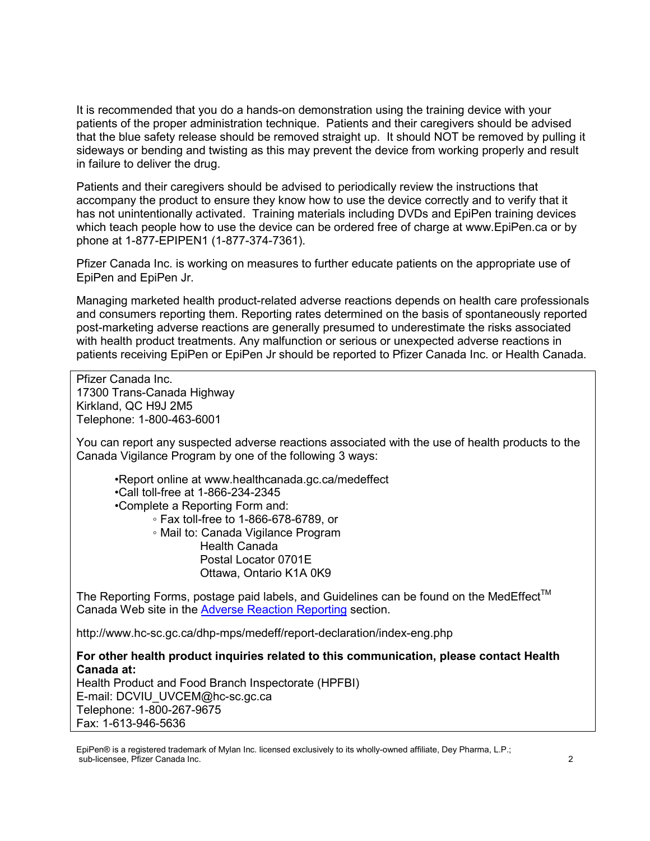It is recommended that you do a hands-on demonstration using the training device with your patients of the proper administration technique. Patients and their caregivers should be advised that the blue safety release should be removed straight up. It should NOT be removed by pulling it sideways or bending and twisting as this may prevent the device from working properly and result in failure to deliver the drug.

Patients and their caregivers should be advised to periodically review the instructions that accompany the product to ensure they know how to use the device correctly and to verify that it has not unintentionally activated. Training materials including DVDs and EpiPen training devices which teach people how to use the device can be ordered free of charge at www.EpiPen.ca or by phone at 1-877-EPIPEN1 (1-877-374-7361).

Pfizer Canada Inc. is working on measures to further educate patients on the appropriate use of EpiPen and EpiPen Jr.

Managing marketed health product-related adverse reactions depends on health care professionals and consumers reporting them. Reporting rates determined on the basis of spontaneously reported post-marketing adverse reactions are generally presumed to underestimate the risks associated with health product treatments. Any malfunction or serious or unexpected adverse reactions in patients receiving EpiPen or EpiPen Jr should be reported to Pfizer Canada Inc. or Health Canada.

Pfizer Canada Inc. 17300 Trans-Canada Highway Kirkland, QC H9J 2M5 Telephone: 1-800-463-6001

You can report any suspected adverse reactions associated with the use of health products to the Canada Vigilance Program by one of the following 3 ways:

•Report online at www.healthcanada.gc.ca/medeffect

•Call toll-free at 1-866-234-2345

•Complete a Reporting Form and:

◦ Fax toll-free to 1-866-678-6789, or

◦ Mail to: Canada Vigilance Program Health Canada Postal Locator 0701E Ottawa, Ontario K1A 0K9

The Reporting Forms, postage paid labels, and Guidelines can be found on the MedEffect™ Canada Web site in the Adverse Reaction Reporting section.

http://www.hc-sc.gc.ca/dhp-mps/medeff/report-declaration/index-eng.php

**For other health product inquiries related to this communication, please contact Health Canada at:** 

Health Product and Food Branch Inspectorate (HPFBI) E-mail: DCVIU\_UVCEM@hc-sc.gc.ca Telephone: 1-800-267-9675 Fax: 1-613-946-5636